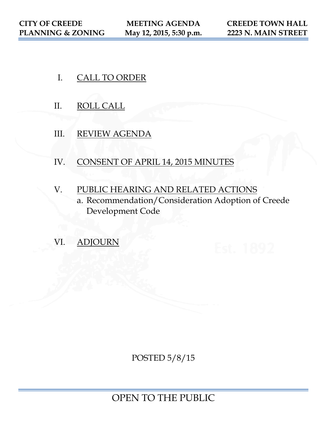- I. CALL TO ORDER
- II. ROLL CALL
- III. REVIEW AGENDA
- IV. CONSENT OF APRIL 14, 2015 MINUTES
- V. PUBLIC HEARING AND RELATED ACTIONS
	- a. Recommendation/Consideration Adoption of Creede Development Code
- VI. ADJOURN

POSTED 5/8/15